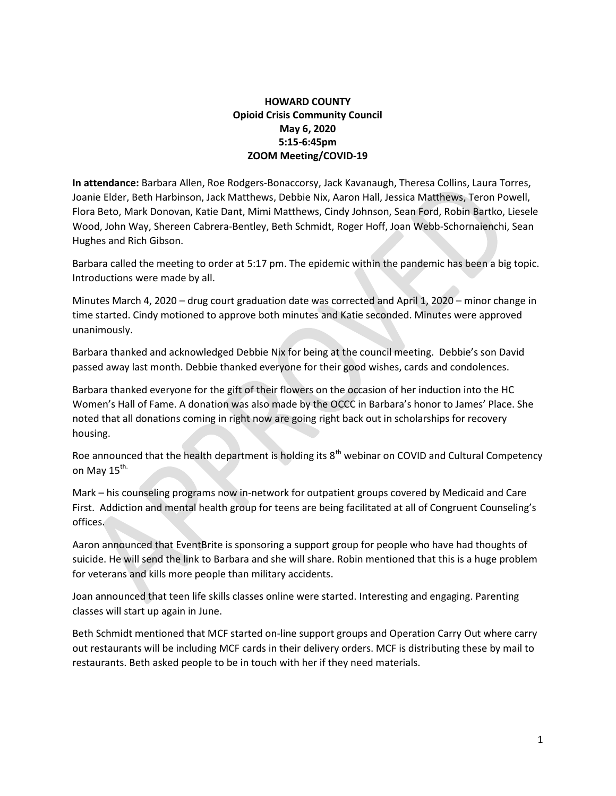# HOWARD COUNTY Opioid Crisis Community Council May 6, 2020 5:15-6:45pm ZOOM Meeting/COVID-19

In attendance: Barbara Allen, Roe Rodgers-Bonaccorsy, Jack Kavanaugh, Theresa Collins, Laura Torres, Joanie Elder, Beth Harbinson, Jack Matthews, Debbie Nix, Aaron Hall, Jessica Matthews, Teron Powell, Flora Beto, Mark Donovan, Katie Dant, Mimi Matthews, Cindy Johnson, Sean Ford, Robin Bartko, Liesele Wood, John Way, Shereen Cabrera-Bentley, Beth Schmidt, Roger Hoff, Joan Webb-Schornaienchi, Sean Hughes and Rich Gibson.

Barbara called the meeting to order at 5:17 pm. The epidemic within the pandemic has been a big topic. Introductions were made by all.

Minutes March 4, 2020 – drug court graduation date was corrected and April 1, 2020 – minor change in time started. Cindy motioned to approve both minutes and Katie seconded. Minutes were approved unanimously.

Barbara thanked and acknowledged Debbie Nix for being at the council meeting. Debbie's son David passed away last month. Debbie thanked everyone for their good wishes, cards and condolences.

Barbara thanked everyone for the gift of their flowers on the occasion of her induction into the HC Women's Hall of Fame. A donation was also made by the OCCC in Barbara's honor to James' Place. She noted that all donations coming in right now are going right back out in scholarships for recovery housing.

Roe announced that the health department is holding its 8<sup>th</sup> webinar on COVID and Cultural Competency on May 15<sup>th.</sup>

Mark – his counseling programs now in-network for outpatient groups covered by Medicaid and Care First. Addiction and mental health group for teens are being facilitated at all of Congruent Counseling's offices.

Aaron announced that EventBrite is sponsoring a support group for people who have had thoughts of suicide. He will send the link to Barbara and she will share. Robin mentioned that this is a huge problem for veterans and kills more people than military accidents.

Joan announced that teen life skills classes online were started. Interesting and engaging. Parenting classes will start up again in June.

Beth Schmidt mentioned that MCF started on-line support groups and Operation Carry Out where carry out restaurants will be including MCF cards in their delivery orders. MCF is distributing these by mail to restaurants. Beth asked people to be in touch with her if they need materials.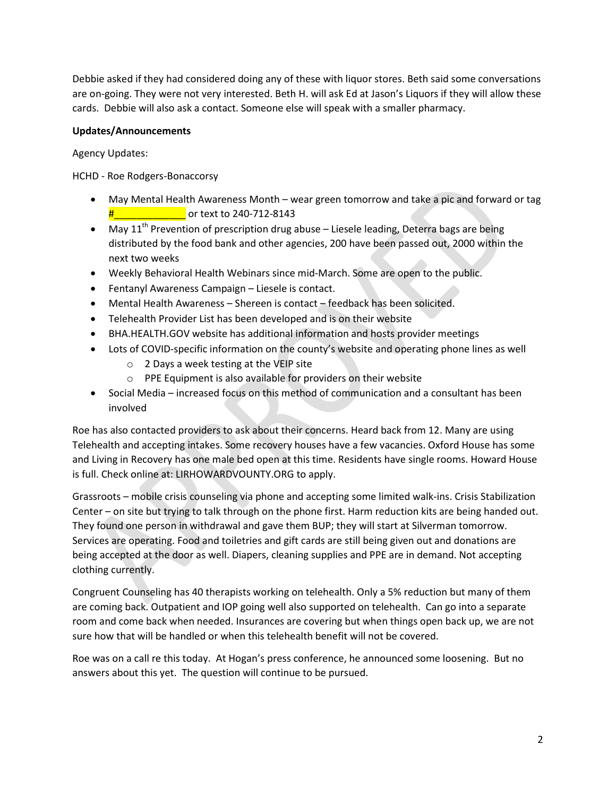Debbie asked if they had considered doing any of these with liquor stores. Beth said some conversations are on-going. They were not very interested. Beth H. will ask Ed at Jason's Liquors if they will allow these cards. Debbie will also ask a contact. Someone else will speak with a smaller pharmacy.

# Updates/Announcements

Agency Updates:

HCHD - Roe Rodgers-Bonaccorsy

- May Mental Health Awareness Month wear green tomorrow and take a pic and forward or tag  $\frac{4}{11}$  or text to 240-712-8143
- May 11<sup>th</sup> Prevention of prescription drug abuse Liesele leading, Deterra bags are being distributed by the food bank and other agencies, 200 have been passed out, 2000 within the next two weeks
- Weekly Behavioral Health Webinars since mid-March. Some are open to the public.
- Fentanyl Awareness Campaign Liesele is contact.
- Mental Health Awareness Shereen is contact feedback has been solicited.
- Telehealth Provider List has been developed and is on their website
- BHA.HEALTH.GOV website has additional information and hosts provider meetings
- Lots of COVID-specific information on the county's website and operating phone lines as well
	- o 2 Days a week testing at the VEIP site
	- o PPE Equipment is also available for providers on their website
- Social Media increased focus on this method of communication and a consultant has been involved

Roe has also contacted providers to ask about their concerns. Heard back from 12. Many are using Telehealth and accepting intakes. Some recovery houses have a few vacancies. Oxford House has some and Living in Recovery has one male bed open at this time. Residents have single rooms. Howard House is full. Check online at: LIRHOWARDVOUNTY.ORG to apply.

Grassroots – mobile crisis counseling via phone and accepting some limited walk-ins. Crisis Stabilization Center – on site but trying to talk through on the phone first. Harm reduction kits are being handed out. They found one person in withdrawal and gave them BUP; they will start at Silverman tomorrow. Services are operating. Food and toiletries and gift cards are still being given out and donations are being accepted at the door as well. Diapers, cleaning supplies and PPE are in demand. Not accepting clothing currently.

Congruent Counseling has 40 therapists working on telehealth. Only a 5% reduction but many of them are coming back. Outpatient and IOP going well also supported on telehealth. Can go into a separate room and come back when needed. Insurances are covering but when things open back up, we are not sure how that will be handled or when this telehealth benefit will not be covered.

Roe was on a call re this today. At Hogan's press conference, he announced some loosening. But no answers about this yet. The question will continue to be pursued.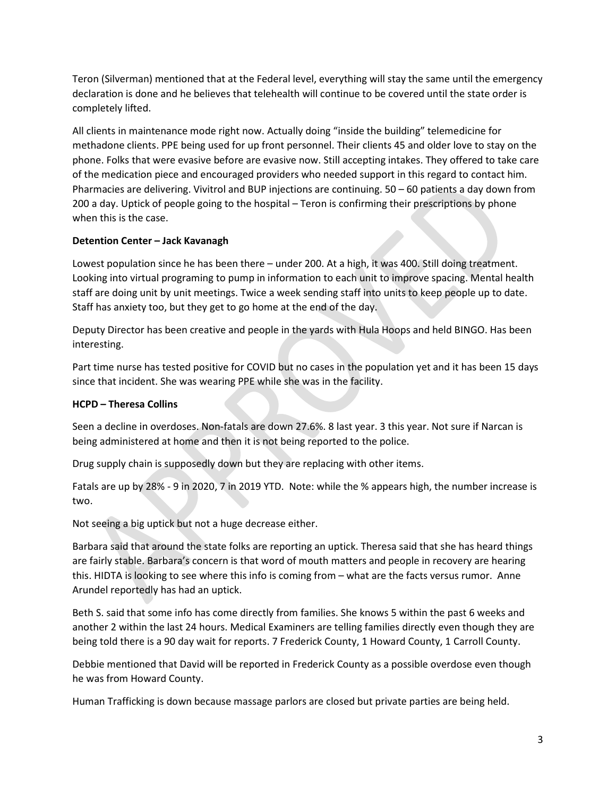Teron (Silverman) mentioned that at the Federal level, everything will stay the same until the emergency declaration is done and he believes that telehealth will continue to be covered until the state order is completely lifted.

All clients in maintenance mode right now. Actually doing "inside the building" telemedicine for methadone clients. PPE being used for up front personnel. Their clients 45 and older love to stay on the phone. Folks that were evasive before are evasive now. Still accepting intakes. They offered to take care of the medication piece and encouraged providers who needed support in this regard to contact him. Pharmacies are delivering. Vivitrol and BUP injections are continuing. 50 – 60 patients a day down from 200 a day. Uptick of people going to the hospital – Teron is confirming their prescriptions by phone when this is the case.

# Detention Center – Jack Kavanagh

Lowest population since he has been there – under 200. At a high, it was 400. Still doing treatment. Looking into virtual programing to pump in information to each unit to improve spacing. Mental health staff are doing unit by unit meetings. Twice a week sending staff into units to keep people up to date. Staff has anxiety too, but they get to go home at the end of the day.

Deputy Director has been creative and people in the yards with Hula Hoops and held BINGO. Has been interesting.

Part time nurse has tested positive for COVID but no cases in the population yet and it has been 15 days since that incident. She was wearing PPE while she was in the facility.

### HCPD – Theresa Collins

Seen a decline in overdoses. Non-fatals are down 27.6%. 8 last year. 3 this year. Not sure if Narcan is being administered at home and then it is not being reported to the police.

Drug supply chain is supposedly down but they are replacing with other items.

Fatals are up by 28% - 9 in 2020, 7 in 2019 YTD. Note: while the % appears high, the number increase is two.

Not seeing a big uptick but not a huge decrease either.

Barbara said that around the state folks are reporting an uptick. Theresa said that she has heard things are fairly stable. Barbara's concern is that word of mouth matters and people in recovery are hearing this. HIDTA is looking to see where this info is coming from – what are the facts versus rumor. Anne Arundel reportedly has had an uptick.

Beth S. said that some info has come directly from families. She knows 5 within the past 6 weeks and another 2 within the last 24 hours. Medical Examiners are telling families directly even though they are being told there is a 90 day wait for reports. 7 Frederick County, 1 Howard County, 1 Carroll County.

Debbie mentioned that David will be reported in Frederick County as a possible overdose even though he was from Howard County.

Human Trafficking is down because massage parlors are closed but private parties are being held.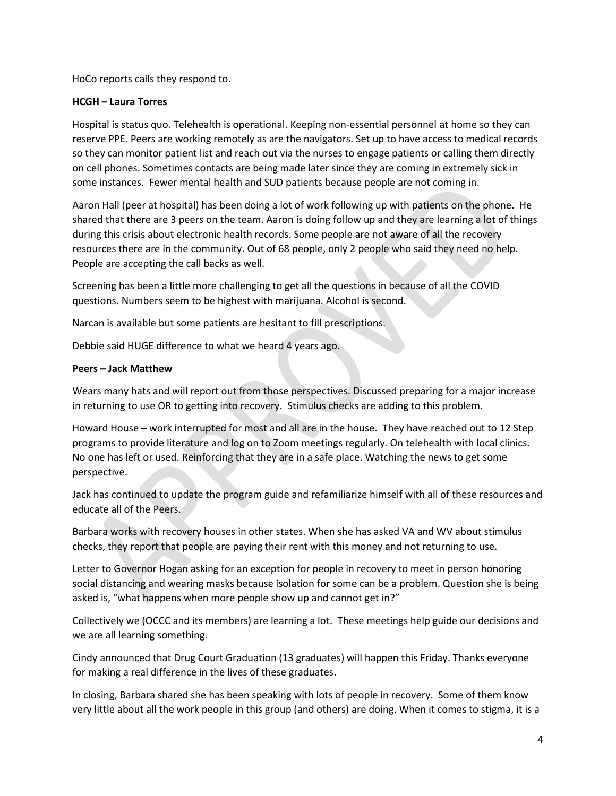HoCo reports calls they respond to.

### HCGH – Laura Torres

Hospital is status quo. Telehealth is operational. Keeping non-essential personnel at home so they can reserve PPE. Peers are working remotely as are the navigators. Set up to have access to medical records so they can monitor patient list and reach out via the nurses to engage patients or calling them directly on cell phones. Sometimes contacts are being made later since they are coming in extremely sick in some instances. Fewer mental health and SUD patients because people are not coming in.

Aaron Hall (peer at hospital) has been doing a lot of work following up with patients on the phone. He shared that there are 3 peers on the team. Aaron is doing follow up and they are learning a lot of things during this crisis about electronic health records. Some people are not aware of all the recovery resources there are in the community. Out of 68 people, only 2 people who said they need no help. People are accepting the call backs as well.

Screening has been a little more challenging to get all the questions in because of all the COVID questions. Numbers seem to be highest with marijuana. Alcohol is second.

Narcan is available but some patients are hesitant to fill prescriptions.

Debbie said HUGE difference to what we heard 4 years ago.

#### Peers – Jack Matthew

Wears many hats and will report out from those perspectives. Discussed preparing for a major increase in returning to use OR to getting into recovery. Stimulus checks are adding to this problem.

Howard House – work interrupted for most and all are in the house. They have reached out to 12 Step programs to provide literature and log on to Zoom meetings regularly. On telehealth with local clinics. No one has left or used. Reinforcing that they are in a safe place. Watching the news to get some perspective.

Jack has continued to update the program guide and refamiliarize himself with all of these resources and educate all of the Peers.

Barbara works with recovery houses in other states. When she has asked VA and WV about stimulus checks, they report that people are paying their rent with this money and not returning to use.

Letter to Governor Hogan asking for an exception for people in recovery to meet in person honoring social distancing and wearing masks because isolation for some can be a problem. Question she is being asked is, "what happens when more people show up and cannot get in?"

Collectively we (OCCC and its members) are learning a lot. These meetings help guide our decisions and we are all learning something.

Cindy announced that Drug Court Graduation (13 graduates) will happen this Friday. Thanks everyone for making a real difference in the lives of these graduates.

In closing, Barbara shared she has been speaking with lots of people in recovery. Some of them know very little about all the work people in this group (and others) are doing. When it comes to stigma, it is a